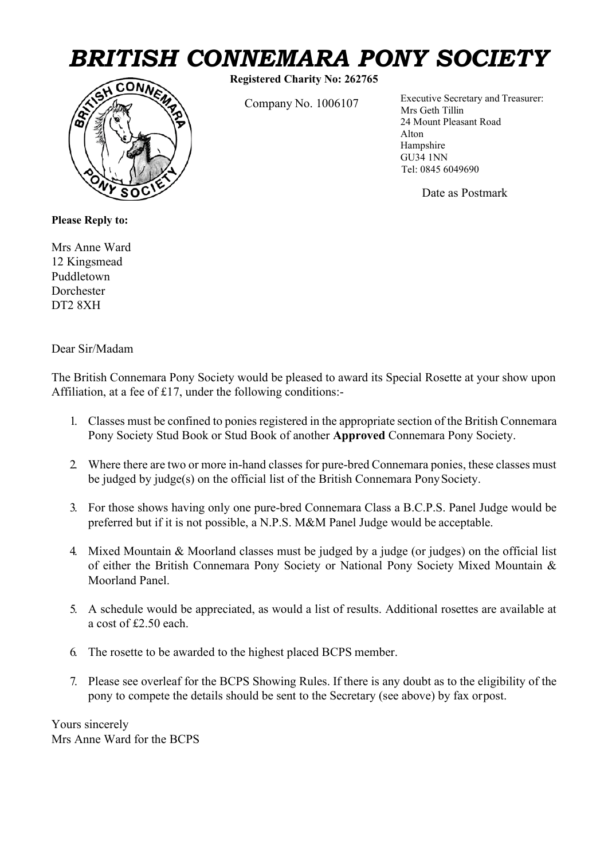## *BRITISH CONNEMARA PONY SOCIETY*<br> *A* CONNEX Registered Charity No: 262765<br>
Executive Secretary and Treasurer:



**Registered Charity No: 262765**

Mrs Geth Tillin Company No. 1006107 Executive Secretary and Treasurer: 24 Mount Pleasant Road Alton Hampshire GU34 1NN Tel: 0845 6049690

Date as Postmark

**Please Reply to:**

Mrs Anne Ward 12 Kingsmead Puddletown Dorchester DT2 8XH

Dear Sir/Madam

The British Connemara Pony Society would be pleased to award its Special Rosette at your show upon Affiliation, at a fee of £17, under the following conditions:-

- 1. Classes must be confined to ponies registered in the appropriate section of the British Connemara Pony Society Stud Book or Stud Book of another **Approved** Connemara Pony Society.
- 2. Where there are two or more in-hand classes for pure-bred Connemara ponies, these classes must be judged by judge(s) on the official list of the British Connemara PonySociety.
- 3. For those shows having only one pure-bred Connemara Class a B.C.P.S. Panel Judge would be preferred but if it is not possible, a N.P.S. M&M Panel Judge would be acceptable.
- 4. Mixed Mountain & Moorland classes must be judged by a judge (or judges) on the official list of either the British Connemara Pony Society or National Pony Society Mixed Mountain & Moorland Panel.
- 5. A schedule would be appreciated, as would a list of results. Additional rosettes are available at a cost of £2.50 each.
- 6. The rosette to be awarded to the highest placed BCPS member.
- 7. Please see overleaf for the BCPS Showing Rules. If there is any doubt as to the eligibility of the pony to compete the details should be sent to the Secretary (see above) by fax orpost.

Yours sincerely Mrs Anne Ward for the BCPS